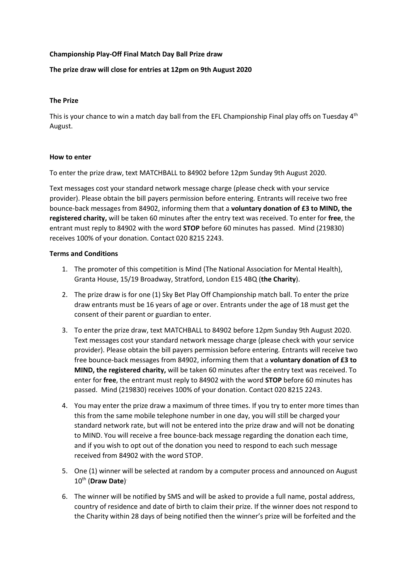# **Championship Play-Off Final Match Day Ball Prize draw**

# **The prize draw will close for entries at 12pm on 9th August 2020**

# **The Prize**

This is your chance to win a match day ball from the EFL Championship Final play offs on Tuesday 4<sup>th</sup> August.

### **How to enter**

To enter the prize draw, text MATCHBALL to 84902 before 12pm Sunday 9th August 2020.

Text messages cost your standard network message charge (please check with your service provider). Please obtain the bill payers permission before entering*.* Entrants will receive two free bounce-back messages from 84902, informing them that a **voluntary donation of £3 to MIND, the registered charity,** will be taken 60 minutes after the entry text was received. To enter for **free**, the entrant must reply to 84902 with the word **STOP** before 60 minutes has passed. Mind (219830) receives 100% of your donation. Contact 020 8215 2243.

### **Terms and Conditions**

- 1. The promoter of this competition is Mind (The National Association for Mental Health), Granta House, 15/19 Broadway, Stratford, London E15 4BQ (**the Charity**).
- 2. The prize draw is for one (1) Sky Bet Play Off Championship match ball. To enter the prize draw entrants must be 16 years of age or over. Entrants under the age of 18 must get the consent of their parent or guardian to enter.
- 3. To enter the prize draw, text MATCHBALL to 84902 before 12pm Sunday 9th August 2020. Text messages cost your standard network message charge (please check with your service provider). Please obtain the bill payers permission before entering*.* Entrants will receive two free bounce-back messages from 84902, informing them that a **voluntary donation of £3 to MIND, the registered charity,** will be taken 60 minutes after the entry text was received. To enter for **free**, the entrant must reply to 84902 with the word **STOP** before 60 minutes has passed. Mind (219830) receives 100% of your donation. Contact 020 8215 2243.
- 4. You may enter the prize draw a maximum of three times. If you try to enter more times than this from the same mobile telephone number in one day, you will still be charged your standard network rate, but will not be entered into the prize draw and will not be donating to MIND. You will receive a free bounce-back message regarding the donation each time, and if you wish to opt out of the donation you need to respond to each such message received from 84902 with the word STOP.
- 5. One (1) winner will be selected at random by a computer process and announced on August 10th (**Draw Date**) .
- 6. The winner will be notified by SMS and will be asked to provide a full name, postal address, country of residence and date of birth to claim their prize. If the winner does not respond to the Charity within 28 days of being notified then the winner's prize will be forfeited and the